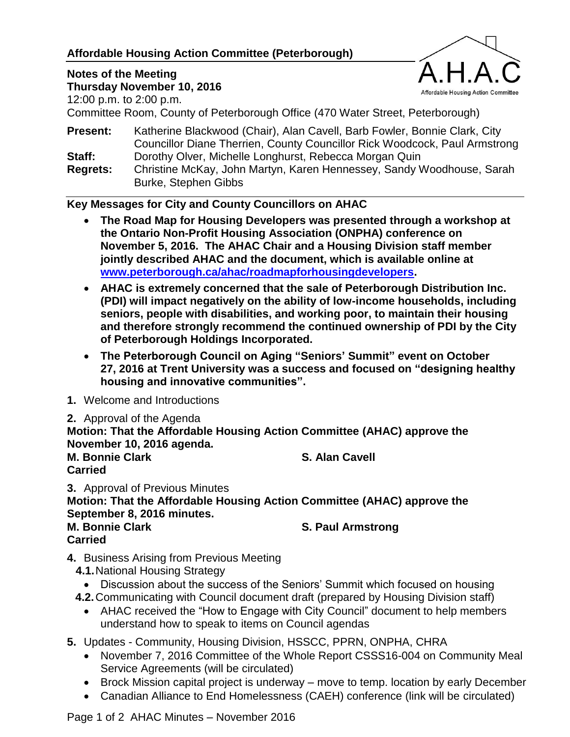# **Affordable Housing Action Committee (Peterborough)**

# **Notes of the Meeting**



**Thursday November 10, 2016** 12:00 p.m. to 2:00 p.m.

Committee Room, County of Peterborough Office (470 Water Street, Peterborough)

**Present:** Katherine Blackwood (Chair), Alan Cavell, Barb Fowler, Bonnie Clark, City Councillor Diane Therrien, County Councillor Rick Woodcock, Paul Armstrong **Staff:** Dorothy Olver, Michelle Longhurst, Rebecca Morgan Quin

**Regrets:** Christine McKay, John Martyn, Karen Hennessey, Sandy Woodhouse, Sarah Burke, Stephen Gibbs

#### **Key Messages for City and County Councillors on AHAC**

- **The Road Map for Housing Developers was presented through a workshop at the Ontario Non-Profit Housing Association (ONPHA) conference on November 5, 2016. The AHAC Chair and a Housing Division staff member jointly described AHAC and the document, which is available online at [www.peterborough.ca/ahac/roadmapforhousingdevelopers.](http://www.peterborough.ca/ahac/roadmapforhousingdevelopers)**
- **AHAC is extremely concerned that the sale of Peterborough Distribution Inc. (PDI) will impact negatively on the ability of low-income households, including seniors, people with disabilities, and working poor, to maintain their housing and therefore strongly recommend the continued ownership of PDI by the City of Peterborough Holdings Incorporated.**
- **The Peterborough Council on Aging "Seniors' Summit" event on October 27, 2016 at Trent University was a success and focused on "designing healthy housing and innovative communities".**
- **1.** Welcome and Introductions
- **2.** Approval of the Agenda

**Motion: That the Affordable Housing Action Committee (AHAC) approve the November 10, 2016 agenda. M. Bonnie Clark S. Alan Cavell**

**Carried**

**3.** Approval of Previous Minutes **Motion: That the Affordable Housing Action Committee (AHAC) approve the September 8, 2016 minutes.**

**M. Bonnie Clark S. Paul Armstrong**

- **Carried**
- **4.** Business Arising from Previous Meeting
	- **4.1.**National Housing Strategy
	- Discussion about the success of the Seniors' Summit which focused on housing
	- **4.2.**Communicating with Council document draft (prepared by Housing Division staff)
		- AHAC received the "How to Engage with City Council" document to help members understand how to speak to items on Council agendas

**5.** Updates - Community, Housing Division, HSSCC, PPRN, ONPHA, CHRA

- November 7, 2016 Committee of the Whole Report CSSS16-004 on Community Meal Service Agreements (will be circulated)
- Brock Mission capital project is underway move to temp. location by early December
- Canadian Alliance to End Homelessness (CAEH) conference (link will be circulated)